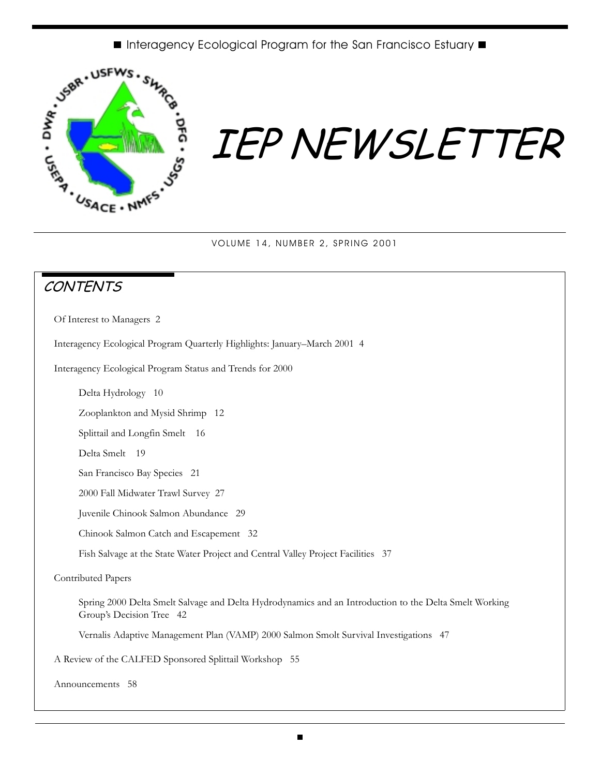

# IEP NEWSLETTER

VOLUME 14, NUMBER 2, SPRING 2001

## **CONTENTS**

Of Interest to Managers 2

Interagency Ecological Program Quarterly Highlights: January–March 2001 4

Interagency Ecological Program Status and Trends for 2000

Delta Hydrology 10

Zooplankton and Mysid Shrimp 12

Splittail and Longfin Smelt 16

Delta Smelt 19

San Francisco Bay Species 21

2000 Fall Midwater Trawl Survey 27

Juvenile Chinook Salmon Abundance 29

Chinook Salmon Catch and Escapement 32

Fish Salvage at the State Water Project and Central Valley Project Facilities 37

Contributed Papers

Spring 2000 Delta Smelt Salvage and Delta Hydrodynamics and an Introduction to the Delta Smelt Working Group's Decision Tree 42

Vernalis Adaptive Management Plan (VAMP) 2000 Salmon Smolt Survival Investigations 47

A Review of the CALFED Sponsored Splittail Workshop 55

Announcements 58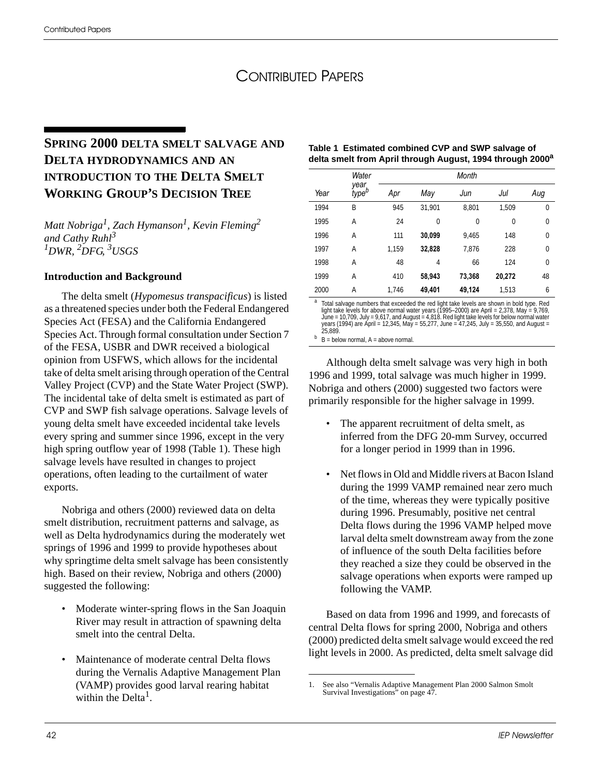## CONTRIBUTED PAPERS

### **SPRING 2000 DELTA SMELT SALVAGE AND DELTA HYDRODYNAMICS AND AN INTRODUCTION TO THE DELTA SMELT WORKING GROUP'S DECISION TREE**

*Matt Nobriga<sup>1</sup> , Zach Hymanson1 , Kevin Fleming2 and Cathy Ruhl<sup>3</sup> 1DWR, 2 DFG, 3USGS*

#### **Introduction and Background**

The delta smelt (*Hypomesus transpacificus*) is listed as a threatened species under both the Federal Endangered Species Act (FESA) and the California Endangered Species Act. Through formal consultation under Section 7 of the FESA, USBR and DWR received a biological opinion from USFWS, which allows for the incidental take of delta smelt arising through operation of the Central Valley Project (CVP) and the State Water Project (SWP). The incidental take of delta smelt is estimated as part of CVP and SWP fish salvage operations. Salvage levels of young delta smelt have exceeded incidental take levels every spring and summer since 1996, except in the very high spring outflow year of 1998 (Table 1). These high salvage levels have resulted in changes to project operations, often leading to the curtailment of water exports.

Nobriga and others (2000) reviewed data on delta smelt distribution, recruitment patterns and salvage, as well as Delta hydrodynamics during the moderately wet springs of 1996 and 1999 to provide hypotheses about why springtime delta smelt salvage has been consistently high. Based on their review, Nobriga and others (2000) suggested the following:

- Moderate winter-spring flows in the San Joaquin River may result in attraction of spawning delta smelt into the central Delta.
- Maintenance of moderate central Delta flows during the Vernalis Adaptive Management Plan (VAMP) provides good larval rearing habitat within the Delta<sup>1</sup>.

| Table 1 Estimated combined CVP and SWP salvage of                     |
|-----------------------------------------------------------------------|
| delta smelt from April through August, 1994 through 2000 <sup>a</sup> |

|      | Water                     | Month |        |        |        |          |
|------|---------------------------|-------|--------|--------|--------|----------|
| Year | vear<br>type <sup>b</sup> | Apr   | May    | Jun    | Jul    | Aug      |
| 1994 | B                         | 945   | 31,901 | 8,801  | 1,509  | 0        |
| 1995 | А                         | 24    | 0      | 0      | 0      | $\Omega$ |
| 1996 | Α                         | 111   | 30,099 | 9.465  | 148    | $\Omega$ |
| 1997 | Α                         | 1.159 | 32,828 | 7,876  | 228    | $\Omega$ |
| 1998 | Α                         | 48    | 4      | 66     | 124    | $\Omega$ |
| 1999 | A                         | 410   | 58.943 | 73,368 | 20,272 | 48       |
| 2000 | Α                         | 1,746 | 49,401 | 49,124 | 1,513  | 6        |

a Total salvage numbers that exceeded the red light take levels are shown in bold type. Red light take levels for above normal water years (1995–2000) are April = 2,378, May = 9,769,<br>June = 10,709, July = 9,617, and August = 4,818. Red light take levels for below normal water<br>years (1994) are April = 12,345, May

 $b$  B = below normal, A = above normal.

Although delta smelt salvage was very high in both 1996 and 1999, total salvage was much higher in 1999. Nobriga and others (2000) suggested two factors were primarily responsible for the higher salvage in 1999.

- The apparent recruitment of delta smelt, as inferred from the DFG 20-mm Survey, occurred for a longer period in 1999 than in 1996.
- Net flows in Old and Middle rivers at Bacon Island during the 1999 VAMP remained near zero much of the time, whereas they were typically positive during 1996. Presumably, positive net central Delta flows during the 1996 VAMP helped move larval delta smelt downstream away from the zone of influence of the south Delta facilities before they reached a size they could be observed in the salvage operations when exports were ramped up following the VAMP.

Based on data from 1996 and 1999, and forecasts of central Delta flows for spring 2000, Nobriga and others (2000) predicted delta smelt salvage would exceed the red light levels in 2000. As predicted, delta smelt salvage did

<sup>1.</sup> See also "Vernalis Adaptive Management Plan 2000 Salmon Smolt Survival Investigations" on page 47.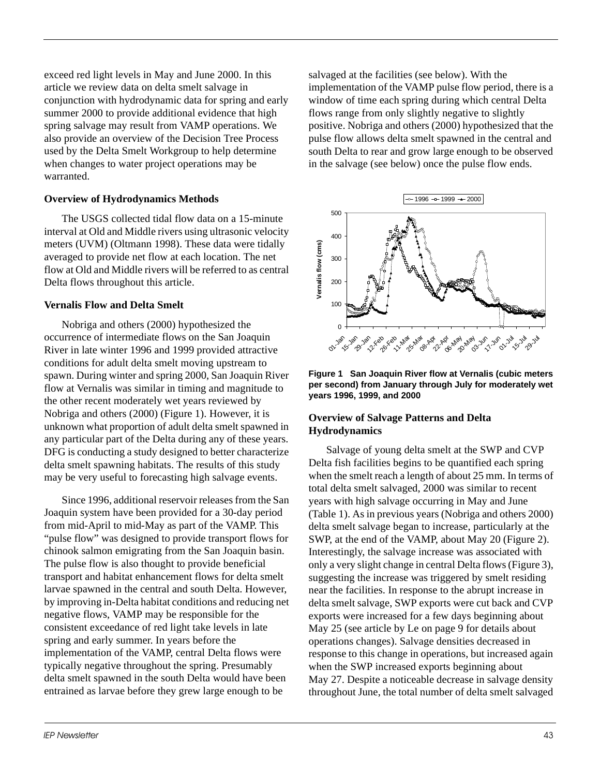exceed red light levels in May and June 2000. In this article we review data on delta smelt salvage in conjunction with hydrodynamic data for spring and early summer 2000 to provide additional evidence that high spring salvage may result from VAMP operations. We also provide an overview of the Decision Tree Process used by the Delta Smelt Workgroup to help determine when changes to water project operations may be warranted.

#### **Overview of Hydrodynamics Methods**

The USGS collected tidal flow data on a 15-minute interval at Old and Middle rivers using ultrasonic velocity meters (UVM) (Oltmann 1998). These data were tidally averaged to provide net flow at each location. The net flow at Old and Middle rivers will be referred to as central Delta flows throughout this article.

#### **Vernalis Flow and Delta Smelt**

Nobriga and others (2000) hypothesized the occurrence of intermediate flows on the San Joaquin River in late winter 1996 and 1999 provided attractive conditions for adult delta smelt moving upstream to spawn. During winter and spring 2000, San Joaquin River flow at Vernalis was similar in timing and magnitude to the other recent moderately wet years reviewed by Nobriga and others (2000) (Figure 1). However, it is unknown what proportion of adult delta smelt spawned in any particular part of the Delta during any of these years. DFG is conducting a study designed to better characterize delta smelt spawning habitats. The results of this study may be very useful to forecasting high salvage events.

Since 1996, additional reservoir releases from the San Joaquin system have been provided for a 30-day period from mid-April to mid-May as part of the VAMP. This "pulse flow" was designed to provide transport flows for chinook salmon emigrating from the San Joaquin basin. The pulse flow is also thought to provide beneficial transport and habitat enhancement flows for delta smelt larvae spawned in the central and south Delta. However, by improving in-Delta habitat conditions and reducing net negative flows, VAMP may be responsible for the consistent exceedance of red light take levels in late spring and early summer. In years before the implementation of the VAMP, central Delta flows were typically negative throughout the spring. Presumably delta smelt spawned in the south Delta would have been entrained as larvae before they grew large enough to be

salvaged at the facilities (see below). With the implementation of the VAMP pulse flow period, there is a window of time each spring during which central Delta flows range from only slightly negative to slightly positive. Nobriga and others (2000) hypothesized that the pulse flow allows delta smelt spawned in the central and south Delta to rear and grow large enough to be observed in the salvage (see below) once the pulse flow ends.



**Figure 1 San Joaquin River flow at Vernalis (cubic meters per second) from January through July for moderately wet years 1996, 1999, and 2000**

#### **Overview of Salvage Patterns and Delta Hydrodynamics**

Salvage of young delta smelt at the SWP and CVP Delta fish facilities begins to be quantified each spring when the smelt reach a length of about 25 mm. In terms of total delta smelt salvaged, 2000 was similar to recent years with high salvage occurring in May and June (Table 1). As in previous years (Nobriga and others 2000) delta smelt salvage began to increase, particularly at the SWP, at the end of the VAMP, about May 20 (Figure 2). Interestingly, the salvage increase was associated with only a very slight change in central Delta flows (Figure 3), suggesting the increase was triggered by smelt residing near the facilities. In response to the abrupt increase in delta smelt salvage, SWP exports were cut back and CVP exports were increased for a few days beginning about May 25 (see article by Le on page 9 for details about operations changes). Salvage densities decreased in response to this change in operations, but increased again when the SWP increased exports beginning about May 27. Despite a noticeable decrease in salvage density throughout June, the total number of delta smelt salvaged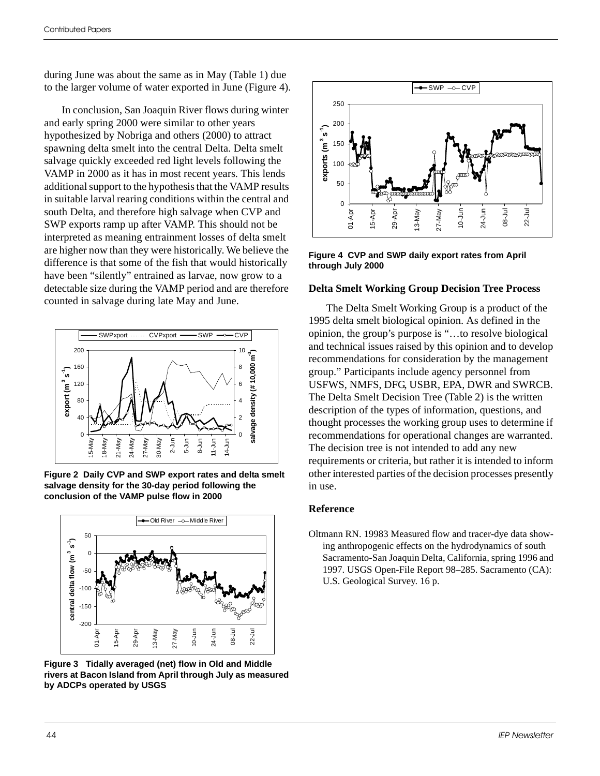during June was about the same as in May (Table 1) due to the larger volume of water exported in June (Figure 4).

In conclusion, San Joaquin River flows during winter and early spring 2000 were similar to other years hypothesized by Nobriga and others (2000) to attract spawning delta smelt into the central Delta. Delta smelt salvage quickly exceeded red light levels following the VAMP in 2000 as it has in most recent years. This lends additional support to the hypothesis that the VAMP results in suitable larval rearing conditions within the central and south Delta, and therefore high salvage when CVP and SWP exports ramp up after VAMP. This should not be interpreted as meaning entrainment losses of delta smelt are higher now than they were historically. We believe the difference is that some of the fish that would historically have been "silently" entrained as larvae, now grow to a detectable size during the VAMP period and are therefore counted in salvage during late May and June.



**Figure 2 Daily CVP and SWP export rates and delta smelt salvage density for the 30-day period following the conclusion of the VAMP pulse flow in 2000**



**Figure 3 Tidally averaged (net) flow in Old and Middle rivers at Bacon Island from April through July as measured by ADCPs operated by USGS**



**Figure 4 CVP and SWP daily export rates from April through July 2000**

#### **Delta Smelt Working Group Decision Tree Process**

The Delta Smelt Working Group is a product of the 1995 delta smelt biological opinion. As defined in the opinion, the group's purpose is "…to resolve biological and technical issues raised by this opinion and to develop recommendations for consideration by the management group." Participants include agency personnel from USFWS, NMFS, DFG, USBR, EPA, DWR and SWRCB. The Delta Smelt Decision Tree (Table 2) is the written description of the types of information, questions, and thought processes the working group uses to determine if recommendations for operational changes are warranted. The decision tree is not intended to add any new requirements or criteria, but rather it is intended to inform other interested parties of the decision processes presently in use.

#### **Reference**

Oltmann RN. 19983 Measured flow and tracer-dye data showing anthropogenic effects on the hydrodynamics of south Sacramento-San Joaquin Delta, California, spring 1996 and 1997. USGS Open-File Report 98–285. Sacramento (CA): U.S. Geological Survey. 16 p.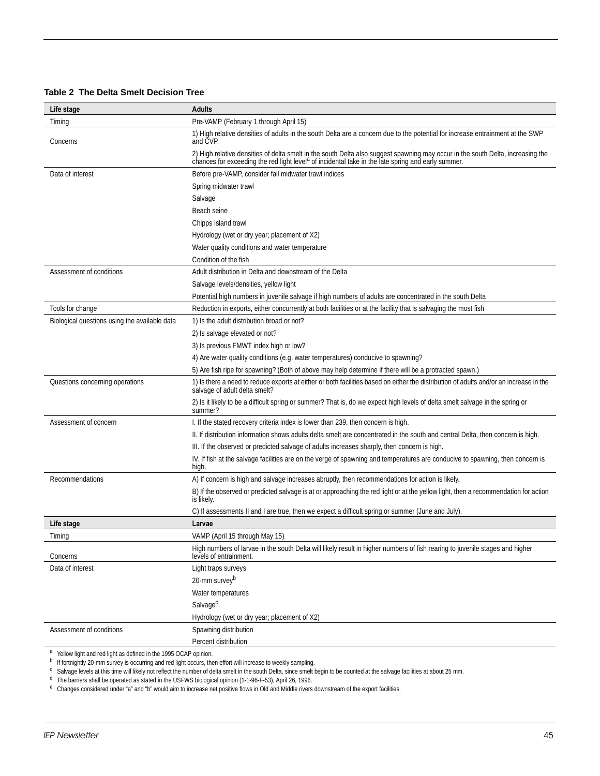|  | Table 2 The Delta Smelt Decision Tree |  |  |  |
|--|---------------------------------------|--|--|--|
|--|---------------------------------------|--|--|--|

| Life stage                                    | <b>Adults</b>                                                                                                                                                                                                                            |
|-----------------------------------------------|------------------------------------------------------------------------------------------------------------------------------------------------------------------------------------------------------------------------------------------|
| Timing                                        | Pre-VAMP (February 1 through April 15)                                                                                                                                                                                                   |
| Concerns                                      | 1) High relative densities of adults in the south Delta are a concern due to the potential for increase entrainment at the SWP<br>and CVP.                                                                                               |
|                                               | 2) High relative densities of delta smelt in the south Delta also suggest spawning may occur in the south Delta, increasing the chances for exceeding the red light level <sup>a</sup> of incidental take in the late spring and early s |
| Data of interest                              | Before pre-VAMP, consider fall midwater trawl indices                                                                                                                                                                                    |
|                                               | Spring midwater trawl                                                                                                                                                                                                                    |
|                                               | Salvage                                                                                                                                                                                                                                  |
|                                               | Beach seine                                                                                                                                                                                                                              |
|                                               | Chipps Island trawl                                                                                                                                                                                                                      |
|                                               | Hydrology (wet or dry year; placement of X2)                                                                                                                                                                                             |
|                                               | Water quality conditions and water temperature                                                                                                                                                                                           |
|                                               | Condition of the fish                                                                                                                                                                                                                    |
| Assessment of conditions                      | Adult distribution in Delta and downstream of the Delta                                                                                                                                                                                  |
|                                               | Salvage levels/densities, yellow light                                                                                                                                                                                                   |
|                                               | Potential high numbers in juvenile salvage if high numbers of adults are concentrated in the south Delta                                                                                                                                 |
| Tools for change                              | Reduction in exports, either concurrently at both facilities or at the facility that is salvaging the most fish                                                                                                                          |
| Biological questions using the available data | 1) Is the adult distribution broad or not?                                                                                                                                                                                               |
|                                               | 2) Is salvage elevated or not?                                                                                                                                                                                                           |
|                                               | 3) Is previous FMWT index high or low?                                                                                                                                                                                                   |
|                                               | 4) Are water quality conditions (e.g. water temperatures) conducive to spawning?                                                                                                                                                         |
|                                               | 5) Are fish ripe for spawning? (Both of above may help determine if there will be a protracted spawn.)                                                                                                                                   |
| Questions concerning operations               | 1) Is there a need to reduce exports at either or both facilities based on either the distribution of adults and/or an increase in the<br>salvage of adult delta smelt?                                                                  |
|                                               | 2) Is it likely to be a difficult spring or summer? That is, do we expect high levels of delta smelt salvage in the spring or<br>summer?                                                                                                 |
| Assessment of concern                         | I. If the stated recovery criteria index is lower than 239, then concern is high.                                                                                                                                                        |
|                                               | II. If distribution information shows adults delta smelt are concentrated in the south and central Delta, then concern is high.                                                                                                          |
|                                               | III. If the observed or predicted salvage of adults increases sharply, then concern is high.                                                                                                                                             |
|                                               | IV. If fish at the salvage facilities are on the verge of spawning and temperatures are conducive to spawning, then concern is<br>high.                                                                                                  |
| Recommendations                               | A) If concern is high and salvage increases abruptly, then recommendations for action is likely.                                                                                                                                         |
|                                               | B) If the observed or predicted salvage is at or approaching the red light or at the yellow light, then a recommendation for action<br>is likely.                                                                                        |
|                                               | C) If assessments II and I are true, then we expect a difficult spring or summer (June and July)                                                                                                                                         |
| Life stage                                    | Larvae                                                                                                                                                                                                                                   |
| Timing                                        | VAMP (April 15 through May 15)                                                                                                                                                                                                           |
| Concerns                                      | High numbers of larvae in the south Delta will likely result in higher numbers of fish rearing to juvenile stages and higher<br>levels of entrainment.                                                                                   |
| Data of interest                              | Light traps surveys                                                                                                                                                                                                                      |
|                                               | 20-mm survey <sup>b</sup>                                                                                                                                                                                                                |
|                                               | Water temperatures                                                                                                                                                                                                                       |
|                                               | Salvage <sup>c</sup>                                                                                                                                                                                                                     |
|                                               | Hydrology (wet or dry year; placement of X2)                                                                                                                                                                                             |
| Assessment of conditions                      | Spawning distribution                                                                                                                                                                                                                    |
|                                               | Percent distribution                                                                                                                                                                                                                     |

<sup>a</sup> Yellow light and red light as defined in the 1995 OCAP opinion.

<sup>b</sup> If fortnightly 20-mm survey is occurring and red light occurs, then effort will increase to weekly sampling.

<sup>c</sup> Salvage levels at this time will likely not reflect the number of delta smelt in the south Delta, since smelt begin to be counted at the salvage facilities at about 25 mm.

<sup>d</sup> The barriers shall be operated as stated in the USFWS biological opinion (1-1-96-F-53), April 26, 1996.

<sup>e</sup> Changes considered under "a" and "b" would aim to increase net positive flows in Old and Middle rivers downstream of the export facilities.